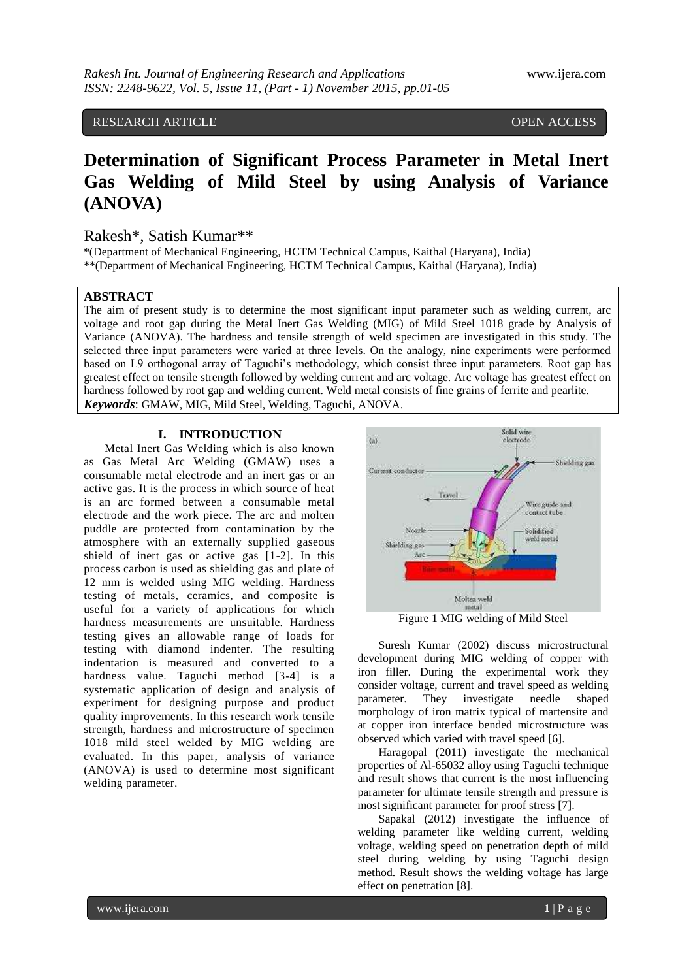RESEARCH ARTICLE **CONSERVERS** OPEN ACCESS

# **Determination of Significant Process Parameter in Metal Inert Gas Welding of Mild Steel by using Analysis of Variance (ANOVA)**

# Rakesh\*, Satish Kumar\*\*

\*(Department of Mechanical Engineering, HCTM Technical Campus, Kaithal (Haryana), India) \*\*(Department of Mechanical Engineering, HCTM Technical Campus, Kaithal (Haryana), India)

## **ABSTRACT**

The aim of present study is to determine the most significant input parameter such as welding current, arc voltage and root gap during the Metal Inert Gas Welding (MIG) of Mild Steel 1018 grade by Analysis of Variance (ANOVA). The hardness and tensile strength of weld specimen are investigated in this study. The selected three input parameters were varied at three levels. On the analogy, nine experiments were performed based on L9 orthogonal array of Taguchi's methodology, which consist three input parameters. Root gap has greatest effect on tensile strength followed by welding current and arc voltage. Arc voltage has greatest effect on hardness followed by root gap and welding current. Weld metal consists of fine grains of ferrite and pearlite. *Keywords*: GMAW, MIG, Mild Steel, Welding, Taguchi, ANOVA.

## **I. INTRODUCTION**

Metal Inert Gas Welding which is also known as Gas Metal Arc Welding (GMAW) uses a consumable metal electrode and an inert gas or an active gas. It is the process in which source of heat is an arc formed between a consumable metal electrode and the work piece. The arc and molten puddle are protected from contamination by the atmosphere with an externally supplied gaseous shield of inert gas or active gas [1-2]. In this process carbon is used as shielding gas and plate of 12 mm is welded using MIG welding. Hardness testing of metals, ceramics, and composite is useful for a variety of applications for which hardness measurements are unsuitable. Hardness testing gives an allowable range of loads for testing with diamond indenter. The resulting indentation is measured and converted to a hardness value. Taguchi method [3-4] is a systematic application of design and analysis of experiment for designing purpose and product quality improvements. In this research work tensile strength, hardness and microstructure of specimen 1018 mild steel welded by MIG welding are evaluated. In this paper, analysis of variance (ANOVA) is used to determine most significant welding parameter.



Figure 1 MIG welding of Mild Steel

Suresh Kumar (2002) discuss microstructural development during MIG welding of copper with iron filler. During the experimental work they consider voltage, current and travel speed as welding parameter. They investigate needle shaped morphology of iron matrix typical of martensite and at copper iron interface bended microstructure was observed which varied with travel speed [6].

Haragopal (2011) investigate the mechanical properties of Al-65032 alloy using Taguchi technique and result shows that current is the most influencing parameter for ultimate tensile strength and pressure is most significant parameter for proof stress [7].

Sapakal (2012) investigate the influence of welding parameter like welding current, welding voltage, welding speed on penetration depth of mild steel during welding by using Taguchi design method. Result shows the welding voltage has large effect on penetration [8].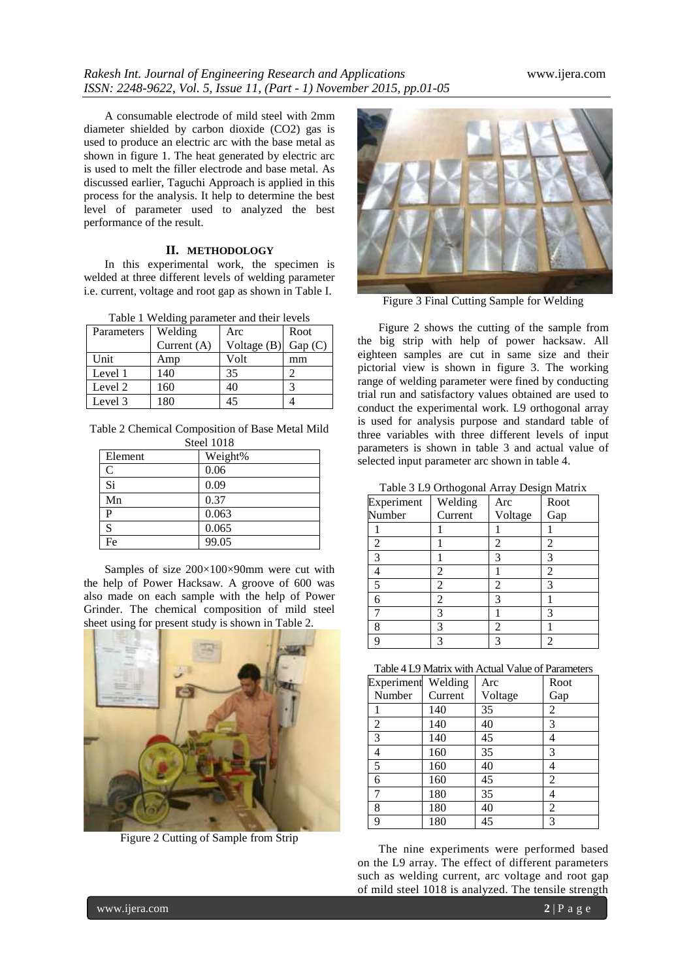A consumable electrode of mild steel with 2mm diameter shielded by carbon dioxide (CO2) gas is used to produce an electric arc with the base metal as shown in figure 1. The heat generated by electric arc is used to melt the filler electrode and base metal. As discussed earlier, Taguchi Approach is applied in this process for the analysis. It help to determine the best level of parameter used to analyzed the best performance of the result.

## **II. METHODOLOGY**

In this experimental work, the specimen is welded at three different levels of welding parameter i.e. current, voltage and root gap as shown in Table I.

| Parameters | Welding       | Arc           | Root   |
|------------|---------------|---------------|--------|
|            | Current $(A)$ | Voltage $(B)$ | Gap(C) |
| Unit       | Amp           | Volt          | mm     |
| Level 1    | 140           | 35            |        |
| Level 2    | 160           | 40            |        |
| Level 3    | 180           | 45            |        |

Table 2 Chemical Composition of Base Metal Mild Steel 1018

| Element | Weight% |  |  |
|---------|---------|--|--|
| C       | 0.06    |  |  |
| Si      | 0.09    |  |  |
| Mn      | 0.37    |  |  |
| P       | 0.063   |  |  |
| S       | 0.065   |  |  |
| Fe      | 99.05   |  |  |

Samples of size 200×100×90mm were cut with the help of Power Hacksaw. A groove of 600 was also made on each sample with the help of Power Grinder. The chemical composition of mild steel sheet using for present study is shown in Table 2.



Figure 2 Cutting of Sample from Strip



Figure 3 Final Cutting Sample for Welding

Figure 2 shows the cutting of the sample from the big strip with help of power hacksaw. All eighteen samples are cut in same size and their pictorial view is shown in figure 3. The working range of welding parameter were fined by conducting trial run and satisfactory values obtained are used to conduct the experimental work. L9 orthogonal array is used for analysis purpose and standard table of three variables with three different levels of input parameters is shown in table 3 and actual value of selected input parameter arc shown in table 4.

Table 3 L9 Orthogonal Array Design Matrix

| Experiment     | Welding | Arc     | Root           |
|----------------|---------|---------|----------------|
| Number         | Current | Voltage | Gap            |
|                |         |         |                |
| $\overline{2}$ |         | 2       | $\overline{2}$ |
| 3              |         | 3       | 3              |
|                | 2       |         | $\overline{2}$ |
| 5              | 2       | 2       | 3              |
| 6              | 2       | 3       |                |
|                | 3       |         | 3              |
| 8              | 3       | 2       |                |
|                |         | 3       | $\overline{2}$ |

| Table 4 L9 Matrix with Actual Value of Parameters |
|---------------------------------------------------|
|                                                   |

| Experiment | Welding | Arc     | Root           |
|------------|---------|---------|----------------|
| Number     | Current | Voltage | Gap            |
|            | 140     | 35      | 2              |
| 2          | 140     | 40      | 3              |
| 3          | 140     | 45      | 4              |
| 4          | 160     | 35      | 3              |
| 5          | 160     | 40      | 4              |
| 6          | 160     | 45      | $\overline{2}$ |
| 7          | 180     | 35      |                |
| 8          | 180     | 40      | 2              |
| 9          | 180     | 45      | 3              |

The nine experiments were performed based on the L9 array. The effect of different parameters such as welding current, arc voltage and root gap of mild steel 1018 is analyzed. The tensile strength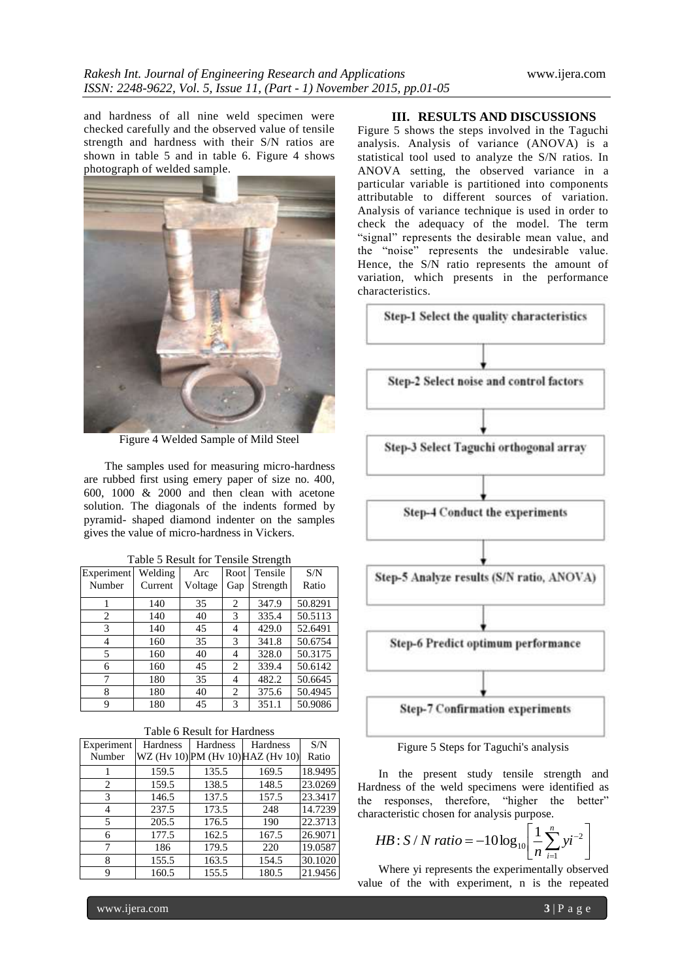and hardness of all nine weld specimen were checked carefully and the observed value of tensile strength and hardness with their S/N ratios are shown in table 5 and in table 6. Figure 4 shows photograph of welded sample.



Figure 4 Welded Sample of Mild Steel

The samples used for measuring micro-hardness are rubbed first using emery paper of size no. 400, 600, 1000 & 2000 and then clean with acetone solution. The diagonals of the indents formed by pyramid- shaped diamond indenter on the samples gives the value of micro-hardness in Vickers.

| Experiment | Welding | Arc     | Root           | Tensile  | S/N     |
|------------|---------|---------|----------------|----------|---------|
| Number     | Current | Voltage | Gap            | Strength | Ratio   |
|            | 140     | 35      | $\overline{c}$ | 347.9    | 50.8291 |
| 2          | 140     | 40      | 3              | 335.4    | 50.5113 |
| 3          | 140     | 45      | 4              | 429.0    | 52.6491 |
| 4          | 160     | 35      | 3              | 341.8    | 50.6754 |
| 5          | 160     | 40      | 4              | 328.0    | 50.3175 |
| 6          | 160     | 45      | $\overline{c}$ | 339.4    | 50.6142 |
| 7          | 180     | 35      | 4              | 482.2    | 50.6645 |
| 8          | 180     | 40      | 2              | 375.6    | 50.4945 |
| 9          | 180     | 45      | 3              | 351.1    | 50.9086 |

Table 5 Result for Tensile Strength

#### Table 6 Result for Hardness

| Experiment<br>Number | <b>Hardness</b> | Hardness | <b>Hardness</b><br>WZ (Hv 10) PM (Hv 10) HAZ (Hv 10) | S/N<br>Ratio |
|----------------------|-----------------|----------|------------------------------------------------------|--------------|
|                      | 159.5           | 135.5    | 169.5                                                | 18.9495      |
| 2                    | 159.5           | 138.5    | 148.5                                                | 23.0269      |
| 3                    | 146.5           | 137.5    | 157.5                                                | 23.3417      |
| 4                    | 237.5           | 173.5    | 248                                                  | 14.7239      |
| 5                    | 205.5           | 176.5    | 190                                                  | 22.3713      |
| 6                    | 177.5           | 162.5    | 167.5                                                | 26.9071      |
|                      | 186             | 179.5    | 220                                                  | 19.0587      |
| 8                    | 155.5           | 163.5    | 154.5                                                | 30.1020      |
| 9                    | 160.5           | 155.5    | 180.5                                                | 21.9456      |

#### **III. RESULTS AND DISCUSSIONS**

Figure 5 shows the steps involved in the Taguchi analysis. Analysis of variance (ANOVA) is a statistical tool used to analyze the S/N ratios. In ANOVA setting, the observed variance in a particular variable is partitioned into components attributable to different sources of variation. Analysis of variance technique is used in order to check the adequacy of the model. The term "signal" represents the desirable mean value, and the "noise" represents the undesirable value. Hence, the S/N ratio represents the amount of variation, which presents in the performance characteristics.



Figure 5 Steps for Taguchi's analysis

In the present study tensile strength and Hardness of the weld specimens were identified as the responses, therefore, "higher the better" characteristic chosen for analysis purpose.

*HB*: *S* / *N ratio* = 
$$
-10 \log_{10} \left[ \frac{1}{n} \sum_{i=1}^{n} yi^{-2} \right]
$$

Where yi represents the experimentally observed value of the with experiment, n is the repeated

www.ijera.com **3** | P a g e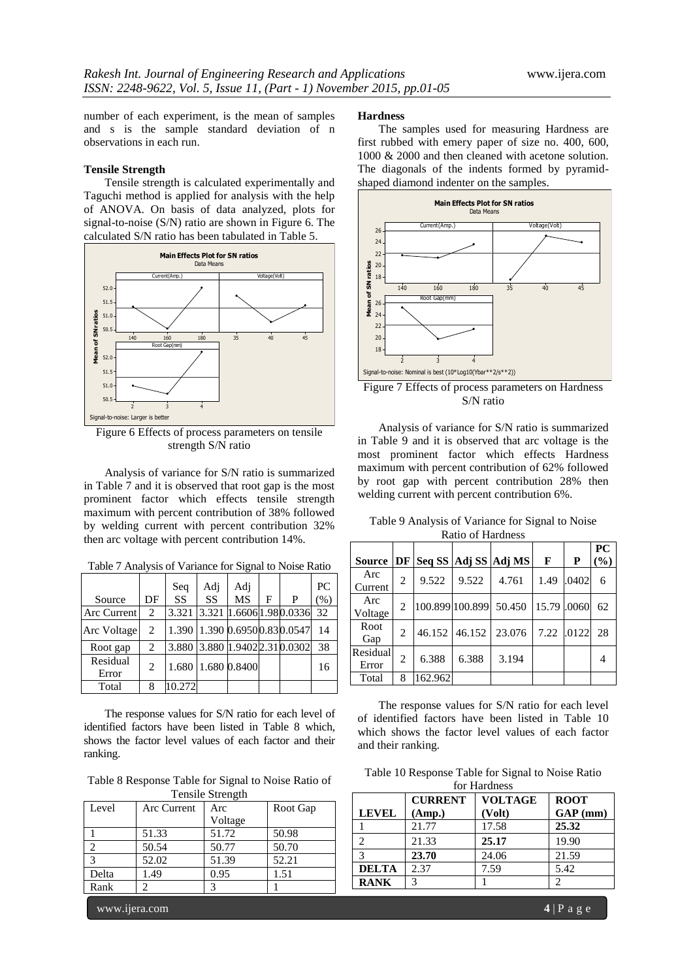number of each experiment, is the mean of samples and s is the sample standard deviation of n observations in each run.

#### **Tensile Strength**

Tensile strength is calculated experimentally and Taguchi method is applied for analysis with the help of ANOVA. On basis of data analyzed, plots for signal-to-noise (S/N) ratio are shown in Figure 6. The calculated S/N ratio has been tabulated in Table 5.



Figure 6 Effects of process parameters on tensile strength S/N ratio

Analysis of variance for S/N ratio is summarized in Table 7 and it is observed that root gap is the most prominent factor which effects tensile strength maximum with percent contribution of 38% followed by welding current with percent contribution 32% then arc voltage with percent contribution 14%.

| Table 7 Analysis of Variance for Signal to Noise Ratio |  |  |
|--------------------------------------------------------|--|--|
|                                                        |  |  |

|                   |                             | Seq    | Adj | Adj                |   |                                | PC   |
|-------------------|-----------------------------|--------|-----|--------------------|---|--------------------------------|------|
| Source            | DF                          | SS.    | SS  | <b>MS</b>          | F | P                              | (% ) |
| Arc Current       | 2                           | 3.321  |     |                    |   | 3.321 1.6606 1.98 0.0336       | 32   |
| Arc Voltage       | 2                           |        |     |                    |   | 1.390 1.390 0.6950 0.83 0.0547 | 14   |
| Root gap          | $\overline{c}$              | 3.880  |     |                    |   | 3.880 1.9402 2.31 0.0302       | 38   |
| Residual<br>Error | $\mathcal{D}_{\mathcal{L}}$ |        |     | 1.680 1.680 0.8400 |   |                                | 16   |
| Total             | 8                           | 10.272 |     |                    |   |                                |      |

The response values for S/N ratio for each level of identified factors have been listed in Table 8 which, shows the factor level values of each factor and their ranking.

Table 8 Response Table for Signal to Noise Ratio of Tensile Strength

| Level                   | Arc Current | Arc     | Root Gap |
|-------------------------|-------------|---------|----------|
|                         |             | Voltage |          |
|                         | 51.33       | 51.72   | 50.98    |
|                         | 50.54       | 50.77   | 50.70    |
| $\mathbf{\overline{3}}$ | 52.02       | 51.39   | 52.21    |
| Delta                   | 1.49        | 0.95    | 1.51     |
| Rank                    |             |         |          |

## **Hardness**

The samples used for measuring Hardness are first rubbed with emery paper of size no. 400, 600, 1000 & 2000 and then cleaned with acetone solution. The diagonals of the indents formed by pyramidshaped diamond indenter on the samples.



Figure 7 Effects of process parameters on Hardness S/N ratio

Analysis of variance for S/N ratio is summarized in Table 9 and it is observed that arc voltage is the most prominent factor which effects Hardness maximum with percent contribution of 62% followed by root gap with percent contribution 28% then welding current with percent contribution 6%.

|                   |                |                 |               |                      |             |       | PC     |
|-------------------|----------------|-----------------|---------------|----------------------|-------------|-------|--------|
| <b>Source</b>     | DF             |                 |               | Seq SS Adj SS Adj MS | F           | P     | $(\%)$ |
| Arc<br>Current    | $\mathfrak{D}$ | 9.522           | 9.522         | 4.761                | 1.49        | .0402 | 6      |
| Arc<br>Voltage    | $\mathfrak{D}$ | 100.899 100.899 |               | 50.450               | 15.79 .0060 |       | 62     |
| Root<br>Gap       | 2              |                 | 46.152 46.152 | 23.076               | 7.22        | .0122 | 28     |
| Residual<br>Error | 2              | 6.388           | 6.388         | 3.194                |             |       |        |
| Total             | 8              | 162.962         |               |                      |             |       |        |

Table 9 Analysis of Variance for Signal to Noise Ratio of Hardness

The response values for S/N ratio for each level of identified factors have been listed in Table 10 which shows the factor level values of each factor and their ranking.

Table 10 Response Table for Signal to Noise Ratio  $f_{\alpha r}$  Hard

| for <b>Hardness</b> |                |                |             |
|---------------------|----------------|----------------|-------------|
|                     | <b>CURRENT</b> | <b>VOLTAGE</b> | <b>ROOT</b> |
| <b>LEVEL</b>        | (Amp.)         | (Volt)         | $GAP$ (mm)  |
|                     | 21.77          | 17.58          | 25.32       |
| っ                   | 21.33          | 25.17          | 19.90       |
| 3                   | 23.70          | 24.06          | 21.59       |
| <b>DELTA</b>        | 2.37           | 7.59           | 5.42        |
| <b>RANK</b>         | 3              |                |             |

www.ijera.com **4** | P a g e